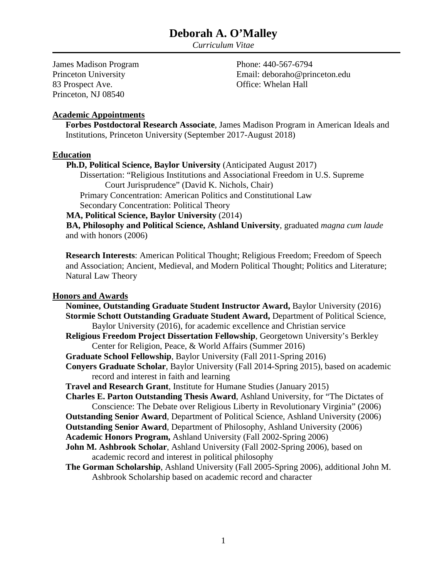*Curriculum Vitae*

James Madison Program Princeton University 83 Prospect Ave. Princeton, NJ 08540

Phone: 440-567-6794 Email: deboraho@princeton.edu Office: Whelan Hall

#### **Academic Appointments**

**Forbes Postdoctoral Research Associate**, James Madison Program in American Ideals and Institutions, Princeton University (September 2017-August 2018)

#### **Education**

**Ph.D, Political Science, Baylor University** (Anticipated August 2017)

Dissertation: "Religious Institutions and Associational Freedom in U.S. Supreme Court Jurisprudence" (David K. Nichols, Chair) Primary Concentration: American Politics and Constitutional Law Secondary Concentration: Political Theory

**MA, Political Science, Baylor University** (2014)

**BA, Philosophy and Political Science, Ashland University**, graduated *magna cum laude* and with honors (2006)

**Research Interests**: American Political Thought; Religious Freedom; Freedom of Speech and Association; Ancient, Medieval, and Modern Political Thought; Politics and Literature; Natural Law Theory

#### **Honors and Awards**

**Nominee, Outstanding Graduate Student Instructor Award,** Baylor University (2016) **Stormie Schott Outstanding Graduate Student Award,** Department of Political Science, Baylor University (2016), for academic excellence and Christian service **Religious Freedom Project Dissertation Fellowship**, Georgetown University's Berkley Center for Religion, Peace, & World Affairs (Summer 2016) **Graduate School Fellowship**, Baylor University (Fall 2011-Spring 2016) **Conyers Graduate Scholar**, Baylor University (Fall 2014-Spring 2015), based on academic record and interest in faith and learning **Travel and Research Grant**, Institute for Humane Studies (January 2015) **Charles E. Parton Outstanding Thesis Award**, Ashland University, for "The Dictates of Conscience: The Debate over Religious Liberty in Revolutionary Virginia" (2006) **Outstanding Senior Award**, Department of Political Science, Ashland University (2006) **Outstanding Senior Award**, Department of Philosophy, Ashland University (2006) **Academic Honors Program,** Ashland University (Fall 2002-Spring 2006) **John M. Ashbrook Scholar**, Ashland University (Fall 2002-Spring 2006), based on academic record and interest in political philosophy **The Gorman Scholarship**, Ashland University (Fall 2005-Spring 2006), additional John M. Ashbrook Scholarship based on academic record and character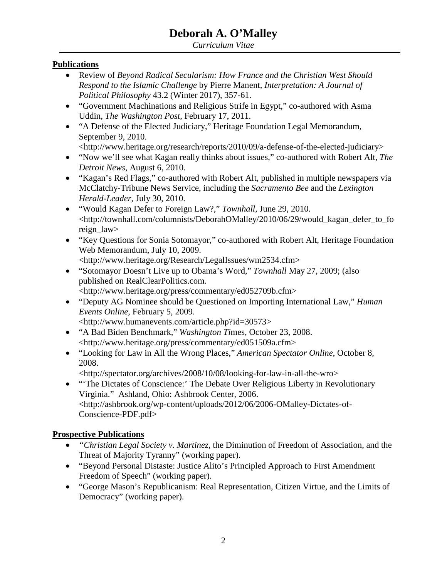*Curriculum Vitae*

## **Publications**

- Review of *Beyond Radical Secularism: How France and the Christian West Should Respond to the Islamic Challenge* by Pierre Manent, *Interpretation: A Journal of Political Philosophy* 43.2 (Winter 2017), 357-61.
- "Government Machinations and Religious Strife in Egypt," co-authored with Asma Uddin, *The Washington Post*, February 17, 2011.
- "A Defense of the Elected Judiciary," Heritage Foundation Legal Memorandum, September 9, 2010.
	- <http://www.heritage.org/research/reports/2010/09/a-defense-of-the-elected-judiciary>
- "Now we'll see what Kagan really thinks about issues," co-authored with Robert Alt, *The Detroit News*, August 6, 2010.
- "Kagan's Red Flags," co-authored with Robert Alt, published in multiple newspapers via McClatchy-Tribune News Service, including the *Sacramento Bee* and the *Lexington Herald-Leader*, July 30, 2010.
- "Would Kagan Defer to Foreign Law?," *Townhall*, June 29, 2010. <http://townhall.com/columnists/DeborahOMalley/2010/06/29/would\_kagan\_defer\_to\_fo reign\_law>
- "Key Questions for Sonia Sotomayor," co-authored with Robert Alt, Heritage Foundation Web Memorandum, July 10, 2009. <http://www.heritage.org/Research/LegalIssues/wm2534.cfm>
- "Sotomayor Doesn't Live up to Obama's Word," *Townhall* May 27, 2009; (also published on RealClearPolitics.com. <http://www.heritage.org/press/commentary/ed052709b.cfm>
- "Deputy AG Nominee should be Questioned on Importing International Law," *Human Events Online*, February 5, 2009. <http://www.humanevents.com/article.php?id=30573>
- "A Bad Biden Benchmark," *Washington Ti*mes, October 23, 2008. <http://www.heritage.org/press/commentary/ed051509a.cfm>
- "Looking for Law in All the Wrong Places," *American Spectator Online*, October 8, 2008.

<http://spectator.org/archives/2008/10/08/looking-for-law-in-all-the-wro>

• "The Dictates of Conscience:' The Debate Over Religious Liberty in Revolutionary Virginia." Ashland, Ohio: Ashbrook Center, 2006. <http://ashbrook.org/wp-content/uploads/2012/06/2006-OMalley-Dictates-of-Conscience-PDF.pdf>

## **Prospective Publications**

- *"Christian Legal Society v. Martinez*, the Diminution of Freedom of Association, and the Threat of Majority Tyranny" (working paper).
- "Beyond Personal Distaste: Justice Alito's Principled Approach to First Amendment Freedom of Speech" (working paper).
- "George Mason's Republicanism: Real Representation, Citizen Virtue, and the Limits of Democracy" (working paper).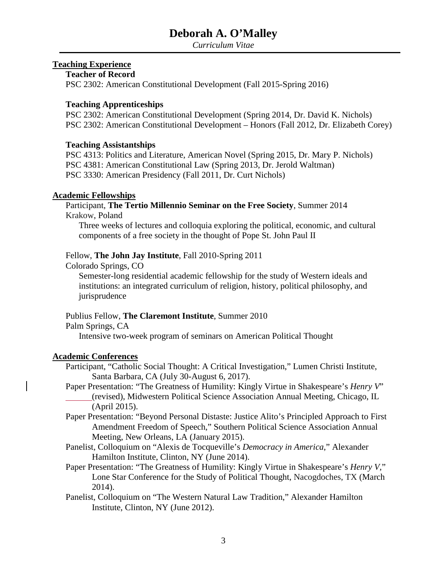*Curriculum Vitae*

#### **Teaching Experience**

### **Teacher of Record**

PSC 2302: American Constitutional Development (Fall 2015-Spring 2016)

#### **Teaching Apprenticeships**

PSC 2302: American Constitutional Development (Spring 2014, Dr. David K. Nichols) PSC 2302: American Constitutional Development – Honors (Fall 2012, Dr. Elizabeth Corey)

#### **Teaching Assistantships**

PSC 4313: Politics and Literature, American Novel (Spring 2015, Dr. Mary P. Nichols) PSC 4381: American Constitutional Law (Spring 2013, Dr. Jerold Waltman) PSC 3330: American Presidency (Fall 2011, Dr. Curt Nichols)

#### **Academic Fellowships**

Participant, **The Tertio Millennio Seminar on the Free Society**, Summer 2014 Krakow, Poland

Three weeks of lectures and colloquia exploring the political, economic, and cultural components of a free society in the thought of Pope St. John Paul II

#### Fellow, **The John Jay Institute**, Fall 2010-Spring 2011

Colorado Springs, CO

Semester-long residential academic fellowship for the study of Western ideals and institutions: an integrated curriculum of religion, history, political philosophy, and jurisprudence

#### Publius Fellow, **The Claremont Institute**, Summer 2010

Palm Springs, CA

Intensive two-week program of seminars on American Political Thought

#### **Academic Conferences**

- Participant, "Catholic Social Thought: A Critical Investigation," Lumen Christi Institute, Santa Barbara, CA (July 30-August 6, 2017).
- Paper Presentation: "The Greatness of Humility: Kingly Virtue in Shakespeare's *Henry V*" (revised), Midwestern Political Science Association Annual Meeting, Chicago, IL (April 2015).
- Paper Presentation: "Beyond Personal Distaste: Justice Alito's Principled Approach to First Amendment Freedom of Speech," Southern Political Science Association Annual Meeting, New Orleans, LA (January 2015).
- Panelist, Colloquium on "Alexis de Tocqueville's *Democracy in America*," Alexander Hamilton Institute, Clinton, NY (June 2014).
- Paper Presentation: "The Greatness of Humility: Kingly Virtue in Shakespeare's *Henry V*," Lone Star Conference for the Study of Political Thought, Nacogdoches, TX (March 2014).
- Panelist, Colloquium on "The Western Natural Law Tradition," Alexander Hamilton Institute, Clinton, NY (June 2012).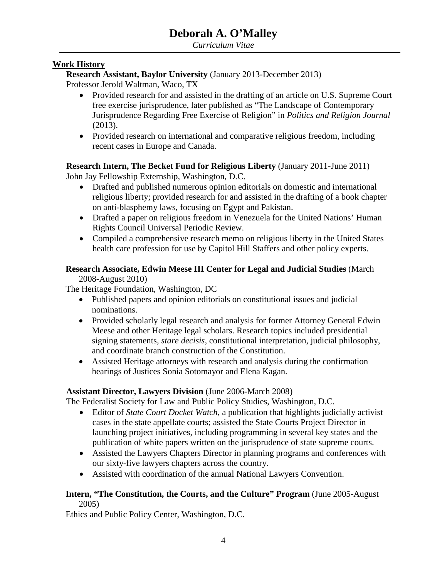### **Work History**

**Research Assistant, Baylor University** (January 2013-December 2013)

Professor Jerold Waltman, Waco, TX

- Provided research for and assisted in the drafting of an article on U.S. Supreme Court free exercise jurisprudence, later published as "The Landscape of Contemporary Jurisprudence Regarding Free Exercise of Religion" in *Politics and Religion Journal* (2013).
- Provided research on international and comparative religious freedom, including recent cases in Europe and Canada.

**Research Intern, The Becket Fund for Religious Liberty** (January 2011-June 2011)

John Jay Fellowship Externship, Washington, D.C.

- Drafted and published numerous opinion editorials on domestic and international religious liberty; provided research for and assisted in the drafting of a book chapter on anti-blasphemy laws, focusing on Egypt and Pakistan.
- Drafted a paper on religious freedom in Venezuela for the United Nations' Human Rights Council Universal Periodic Review.
- Compiled a comprehensive research memo on religious liberty in the United States health care profession for use by Capitol Hill Staffers and other policy experts.

# **Research Associate, Edwin Meese III Center for Legal and Judicial Studies** (March

2008-August 2010)

The Heritage Foundation, Washington, DC

- Published papers and opinion editorials on constitutional issues and judicial nominations.
- Provided scholarly legal research and analysis for former Attorney General Edwin Meese and other Heritage legal scholars. Research topics included presidential signing statements*, stare decisis*, constitutional interpretation, judicial philosophy, and coordinate branch construction of the Constitution.
- Assisted Heritage attorneys with research and analysis during the confirmation hearings of Justices Sonia Sotomayor and Elena Kagan.

## **Assistant Director, Lawyers Division** (June 2006-March 2008)

The Federalist Society for Law and Public Policy Studies, Washington, D.C.

- Editor of *State Court Docket Watch*, a publication that highlights judicially activist cases in the state appellate courts; assisted the State Courts Project Director in launching project initiatives, including programming in several key states and the publication of white papers written on the jurisprudence of state supreme courts.
- Assisted the Lawyers Chapters Director in planning programs and conferences with our sixty-five lawyers chapters across the country.
- Assisted with coordination of the annual National Lawyers Convention.

### **Intern, "The Constitution, the Courts, and the Culture" Program** (June 2005-August 2005)

Ethics and Public Policy Center, Washington, D.C.